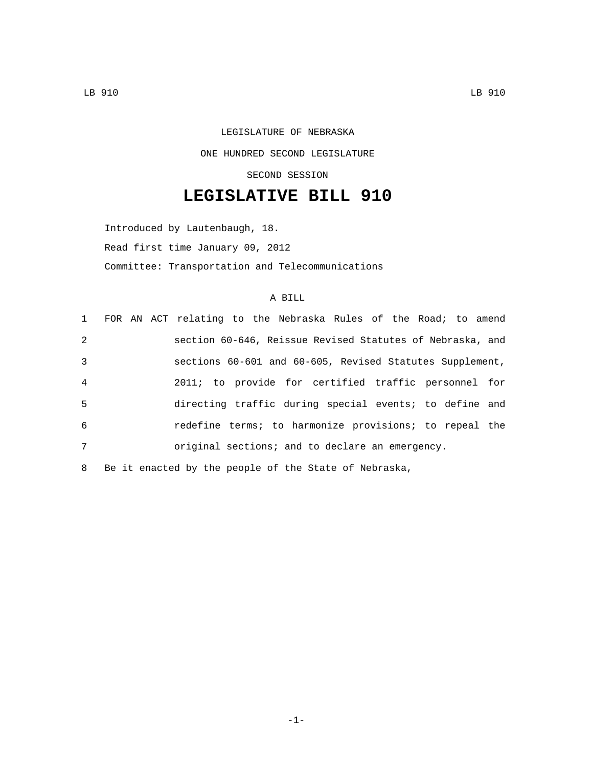LEGISLATURE OF NEBRASKA ONE HUNDRED SECOND LEGISLATURE SECOND SESSION

## **LEGISLATIVE BILL 910**

Introduced by Lautenbaugh, 18. Read first time January 09, 2012 Committee: Transportation and Telecommunications

## A BILL

|                |  | 1 FOR AN ACT relating to the Nebraska Rules of the Road; to amend |
|----------------|--|-------------------------------------------------------------------|
| 2              |  | section 60-646, Reissue Revised Statutes of Nebraska, and         |
| 3              |  | sections 60-601 and 60-605, Revised Statutes Supplement,          |
| $\overline{4}$ |  | 2011; to provide for certified traffic personnel for              |
| 5              |  | directing traffic during special events; to define and            |
| 6              |  | redefine terms; to harmonize provisions; to repeal the            |
| 7              |  | original sections; and to declare an emergency.                   |
|                |  |                                                                   |

8 Be it enacted by the people of the State of Nebraska,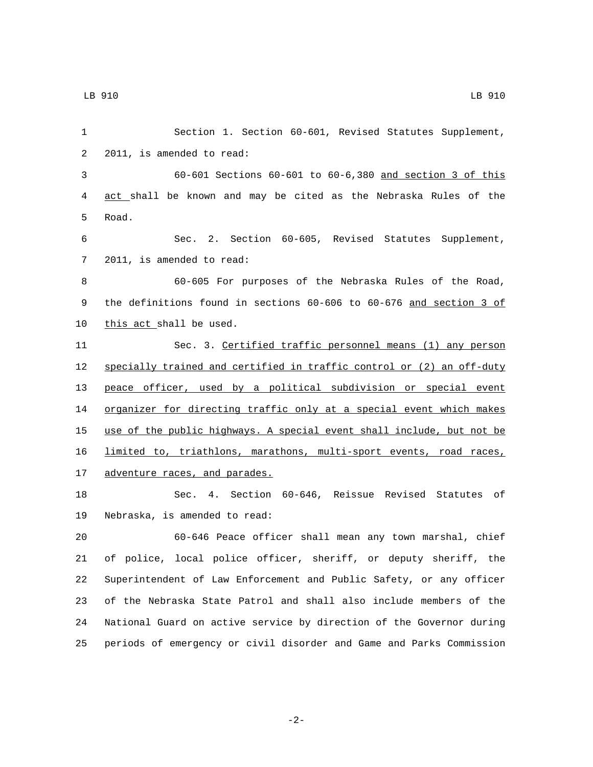Section 1. Section 60-601, Revised Statutes Supplement, 2 2011, is amended to read: 60-601 Sections 60-601 to 60-6,380 and section 3 of this act shall be known and may be cited as the Nebraska Rules of the 5 Road. Sec. 2. Section 60-605, Revised Statutes Supplement, 7 2011, is amended to read: 60-605 For purposes of the Nebraska Rules of the Road, 9 the definitions found in sections 60-606 to 60-676 and section 3 of 10 this act shall be used. Sec. 3. Certified traffic personnel means (1) any person specially trained and certified in traffic control or (2) an off-duty peace officer, used by a political subdivision or special event 14 organizer for directing traffic only at a special event which makes use of the public highways. A special event shall include, but not be limited to, triathlons, marathons, multi-sport events, road races, 17 adventure races, and parades. Sec. 4. Section 60-646, Reissue Revised Statutes of 19 Nebraska, is amended to read: 60-646 Peace officer shall mean any town marshal, chief

 of police, local police officer, sheriff, or deputy sheriff, the Superintendent of Law Enforcement and Public Safety, or any officer of the Nebraska State Patrol and shall also include members of the National Guard on active service by direction of the Governor during periods of emergency or civil disorder and Game and Parks Commission

-2-